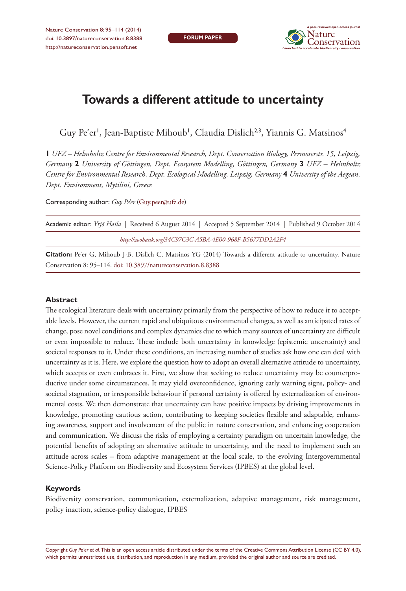

# **Towards a different attitude to uncertainty**

Guy Pe'er', Jean-Baptiste Mihoub', Claudia Dislich<sup>2,3</sup>, Yiannis G. Matsinos<sup>4</sup>

**1** *UFZ – Helmholtz Centre for Environmental Research, Dept. Conservation Biology, Permoserstr. 15, Leipzig, Germany* **2** *University of Göttingen, Dept. Ecosystem Modelling, Göttingen, Germany* **3** *UFZ – Helmholtz Centre for Environmental Research, Dept. Ecological Modelling, Leipzig, Germany* **4** *University of the Aegean, Dept. Environment, Mytilini, Greece*

Corresponding author: *Guy Pe'er* [\(Guy.peer@ufz.de](mailto:Guy.peer@ufz.de))

| Academic editor: <i>Yrjö Haila</i>   Received 6 August 2014   Accepted 5 September 2014   Published 9 October 2014 |
|--------------------------------------------------------------------------------------------------------------------|
| http://zoobank.org/34C97C3C-A5BA-4E00-968F-B5677DD2A2F4                                                            |
|                                                                                                                    |

**Citation:** Pe'er G, Mihoub J-B, Dislich C, Matsinos YG (2014) Towards a different attitude to uncertainty. Nature Conservation 8: 95–114. [doi: 10.3897/natureconservation.8.8388](http://dx.doi.org/10.3897/natureconservation.8.8388)

#### **Abstract**

The ecological literature deals with uncertainty primarily from the perspective of how to reduce it to acceptable levels. However, the current rapid and ubiquitous environmental changes, as well as anticipated rates of change, pose novel conditions and complex dynamics due to which many sources of uncertainty are difficult or even impossible to reduce. These include both uncertainty in knowledge (epistemic uncertainty) and societal responses to it. Under these conditions, an increasing number of studies ask how one can deal with uncertainty as it is. Here, we explore the question how to adopt an overall alternative attitude to uncertainty, which accepts or even embraces it. First, we show that seeking to reduce uncertainty may be counterproductive under some circumstances. It may yield overconfidence, ignoring early warning signs, policy- and societal stagnation, or irresponsible behaviour if personal certainty is offered by externalization of environmental costs. We then demonstrate that uncertainty can have positive impacts by driving improvements in knowledge, promoting cautious action, contributing to keeping societies flexible and adaptable, enhancing awareness, support and involvement of the public in nature conservation, and enhancing cooperation and communication. We discuss the risks of employing a certainty paradigm on uncertain knowledge, the potential benefits of adopting an alternative attitude to uncertainty, and the need to implement such an attitude across scales – from adaptive management at the local scale, to the evolving Intergovernmental Science-Policy Platform on Biodiversity and Ecosystem Services (IPBES) at the global level.

#### **Keywords**

Biodiversity conservation, communication, externalization, adaptive management, risk management, policy inaction, science-policy dialogue, IPBES

Copyright *Guy Pe'er et al.* This is an open access article distributed under the terms of the [Creative Commons Attribution License \(CC BY 4.0\),](http://creativecommons.org/licenses/by/4.0/) which permits unrestricted use, distribution, and reproduction in any medium, provided the original author and source are credited.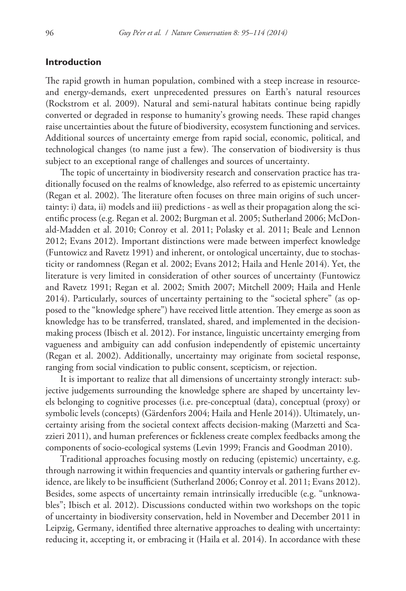# **Introduction**

The rapid growth in human population, combined with a steep increase in resourceand energy-demands, exert unprecedented pressures on Earth's natural resources (Rockstrom et al. 2009). Natural and semi-natural habitats continue being rapidly converted or degraded in response to humanity's growing needs. These rapid changes raise uncertainties about the future of biodiversity, ecosystem functioning and services. Additional sources of uncertainty emerge from rapid social, economic, political, and technological changes (to name just a few). The conservation of biodiversity is thus subject to an exceptional range of challenges and sources of uncertainty.

The topic of uncertainty in biodiversity research and conservation practice has traditionally focused on the realms of knowledge, also referred to as epistemic uncertainty (Regan et al. 2002). The literature often focuses on three main origins of such uncertainty: i) data, ii) models and iii) predictions - as well as their propagation along the scientific process (e.g. Regan et al. 2002; Burgman et al. 2005; Sutherland 2006; McDonald-Madden et al. 2010; Conroy et al. 2011; Polasky et al. 2011; Beale and Lennon 2012; Evans 2012). Important distinctions were made between imperfect knowledge (Funtowicz and Ravetz 1991) and inherent, or ontological uncertainty, due to stochasticity or randomness (Regan et al. 2002; Evans 2012; Haila and Henle 2014). Yet, the literature is very limited in consideration of other sources of uncertainty (Funtowicz and Ravetz 1991; Regan et al. 2002; Smith 2007; Mitchell 2009; Haila and Henle 2014). Particularly, sources of uncertainty pertaining to the "societal sphere" (as opposed to the "knowledge sphere") have received little attention. They emerge as soon as knowledge has to be transferred, translated, shared, and implemented in the decisionmaking process (Ibisch et al. 2012). For instance, linguistic uncertainty emerging from vagueness and ambiguity can add confusion independently of epistemic uncertainty (Regan et al. 2002). Additionally, uncertainty may originate from societal response, ranging from social vindication to public consent, scepticism, or rejection.

It is important to realize that all dimensions of uncertainty strongly interact: subjective judgements surrounding the knowledge sphere are shaped by uncertainty levels belonging to cognitive processes (i.e. pre-conceptual (data), conceptual (proxy) or symbolic levels (concepts) (Gärdenfors 2004; Haila and Henle 2014)). Ultimately, uncertainty arising from the societal context affects decision-making (Marzetti and Scazzieri 2011), and human preferences or fickleness create complex feedbacks among the components of socio-ecological systems (Levin 1999; Francis and Goodman 2010).

Traditional approaches focusing mostly on reducing (epistemic) uncertainty, e.g. through narrowing it within frequencies and quantity intervals or gathering further evidence, are likely to be insufficient (Sutherland 2006; Conroy et al. 2011; Evans 2012). Besides, some aspects of uncertainty remain intrinsically irreducible (e.g. "unknowables"; Ibisch et al. 2012). Discussions conducted within two workshops on the topic of uncertainty in biodiversity conservation, held in November and December 2011 in Leipzig, Germany, identified three alternative approaches to dealing with uncertainty: reducing it, accepting it, or embracing it (Haila et al. 2014). In accordance with these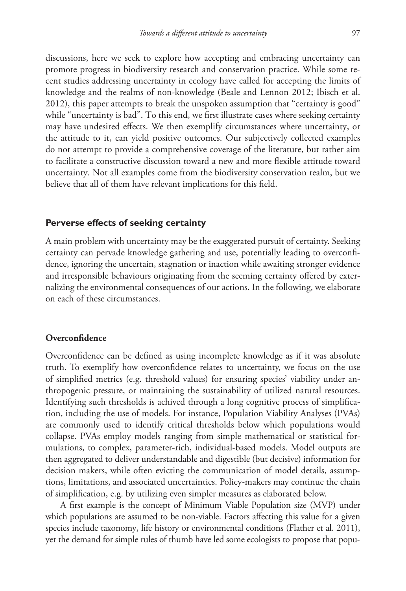discussions, here we seek to explore how accepting and embracing uncertainty can promote progress in biodiversity research and conservation practice. While some recent studies addressing uncertainty in ecology have called for accepting the limits of knowledge and the realms of non-knowledge (Beale and Lennon 2012; Ibisch et al. 2012), this paper attempts to break the unspoken assumption that "certainty is good" while "uncertainty is bad". To this end, we first illustrate cases where seeking certainty may have undesired effects. We then exemplify circumstances where uncertainty, or the attitude to it, can yield positive outcomes. Our subjectively collected examples do not attempt to provide a comprehensive coverage of the literature, but rather aim to facilitate a constructive discussion toward a new and more flexible attitude toward uncertainty. Not all examples come from the biodiversity conservation realm, but we believe that all of them have relevant implications for this field.

### **Perverse effects of seeking certainty**

A main problem with uncertainty may be the exaggerated pursuit of certainty. Seeking certainty can pervade knowledge gathering and use, potentially leading to overconfidence, ignoring the uncertain, stagnation or inaction while awaiting stronger evidence and irresponsible behaviours originating from the seeming certainty offered by externalizing the environmental consequences of our actions. In the following, we elaborate on each of these circumstances.

# **Overconfidence**

Overconfidence can be defined as using incomplete knowledge as if it was absolute truth. To exemplify how overconfidence relates to uncertainty, we focus on the use of simplified metrics (e.g. threshold values) for ensuring species' viability under anthropogenic pressure, or maintaining the sustainability of utilized natural resources. Identifying such thresholds is achived through a long cognitive process of simplification, including the use of models. For instance, Population Viability Analyses (PVAs) are commonly used to identify critical thresholds below which populations would collapse. PVAs employ models ranging from simple mathematical or statistical formulations, to complex, parameter-rich, individual-based models. Model outputs are then aggregated to deliver understandable and digestible (but decisive) information for decision makers, while often evicting the communication of model details, assumptions, limitations, and associated uncertainties. Policy-makers may continue the chain of simplification, e.g. by utilizing even simpler measures as elaborated below.

A first example is the concept of Minimum Viable Population size (MVP) under which populations are assumed to be non-viable. Factors affecting this value for a given species include taxonomy, life history or environmental conditions (Flather et al. 2011), yet the demand for simple rules of thumb have led some ecologists to propose that popu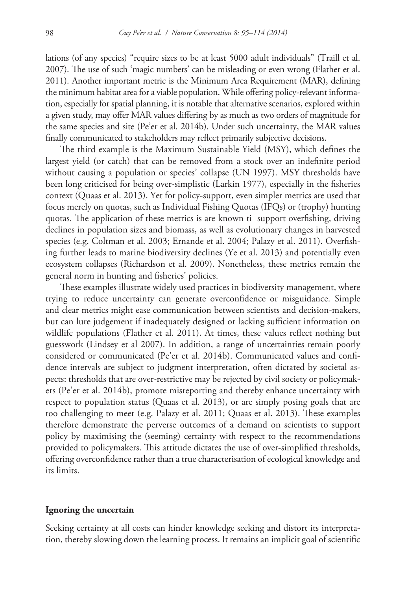lations (of any species) "require sizes to be at least 5000 adult individuals" (Traill et al. 2007). The use of such 'magic numbers' can be misleading or even wrong (Flather et al. 2011). Another important metric is the Minimum Area Requirement (MAR), defining the minimum habitat area for a viable population. While offering policy-relevant information, especially for spatial planning, it is notable that alternative scenarios, explored within a given study, may offer MAR values differing by as much as two orders of magnitude for the same species and site (Pe'er et al. 2014b). Under such uncertainty, the MAR values finally communicated to stakeholders may reflect primarily subjective decisions.

The third example is the Maximum Sustainable Yield (MSY), which defines the largest yield (or catch) that can be removed from a stock over an indefinite period without causing a population or species' collapse (UN 1997). MSY thresholds have been long criticised for being over-simplistic (Larkin 1977), especially in the fisheries context (Quaas et al. 2013). Yet for policy-support, even simpler metrics are used that focus merely on quotas, such as Individual Fishing Quotas (IFQs) or (trophy) hunting quotas. The application of these metrics is are known ti support overfishing, driving declines in population sizes and biomass, as well as evolutionary changes in harvested species (e.g. Coltman et al. 2003; Ernande et al. 2004; Palazy et al. 2011). Overfishing further leads to marine biodiversity declines (Ye et al. 2013) and potentially even ecosystem collapses (Richardson et al. 2009). Nonetheless, these metrics remain the general norm in hunting and fisheries' policies.

These examples illustrate widely used practices in biodiversity management, where trying to reduce uncertainty can generate overconfidence or misguidance. Simple and clear metrics might ease communication between scientists and decision-makers, but can lure judgement if inadequately designed or lacking sufficient information on wildlife populations (Flather et al. 2011). At times, these values reflect nothing but guesswork (Lindsey et al 2007). In addition, a range of uncertainties remain poorly considered or communicated (Pe'er et al. 2014b). Communicated values and confidence intervals are subject to judgment interpretation, often dictated by societal aspects: thresholds that are over-restrictive may be rejected by civil society or policymakers (Pe'er et al. 2014b), promote misreporting and thereby enhance uncertainty with respect to population status (Quaas et al. 2013), or are simply posing goals that are too challenging to meet (e.g. Palazy et al. 2011; Quaas et al. 2013). These examples therefore demonstrate the perverse outcomes of a demand on scientists to support policy by maximising the (seeming) certainty with respect to the recommendations provided to policymakers. This attitude dictates the use of over-simplified thresholds, offering overconfidence rather than a true characterisation of ecological knowledge and its limits.

#### **Ignoring the uncertain**

Seeking certainty at all costs can hinder knowledge seeking and distort its interpretation, thereby slowing down the learning process. It remains an implicit goal of scientific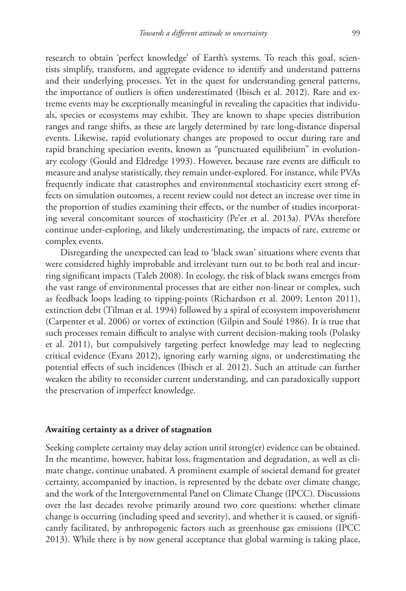research to obtain 'perfect knowledge' of Earth's systems. To reach this goal, scientists simplify, transform, and aggregate evidence to identify and understand patterns and their underlying processes. Yet in the quest for understanding general patterns, the importance of outliers is often underestimated (Ibisch et al. 2012). Rare and extreme events may be exceptionally meaningful in revealing the capacities that individuals, species or ecosystems may exhibit. They are known to shape species distribution ranges and range shifts, as these are largely determined by rare long-distance dispersal events. Likewise, rapid evolutionary changes are proposed to occur during rare and rapid branching speciation events, known as "punctuated equilibrium" in evolutionary ecology (Gould and Eldredge 1993). However, because rare events are difficult to measure and analyse statistically, they remain under-explored. For instance, while PVAs frequently indicate that catastrophes and environmental stochasticity exert strong effects on simulation outcomes, a recent review could not detect an increase over time in the proportion of studies examining their effects, or the number of studies incorporating several concomitant sources of stochasticity (Pe'er et al. 2013a). PVAs therefore continue under-exploring, and likely underestimating, the impacts of rare, extreme or complex events.

Disregarding the unexpected can lead to 'black swan' situations where events that were considered highly improbable and irrelevant turn out to be both real and incurring significant impacts (Taleb 2008). In ecology, the risk of black swans emerges from the vast range of environmental processes that are either non-linear or complex, such as feedback loops leading to tipping-points (Richardson et al. 2009; Lenton 2011), extinction debt (Tilman et al. 1994) followed by a spiral of ecosystem impoverishment (Carpenter et al. 2006) or vortex of extinction (Gilpin and Soulé 1986). It is true that such processes remain difficult to analyse with current decision-making tools (Polasky et al. 2011), but compulsively targeting perfect knowledge may lead to neglecting critical evidence (Evans 2012), ignoring early warning signs, or underestimating the potential effects of such incidences (Ibisch et al. 2012). Such an attitude can further weaken the ability to reconsider current understanding, and can paradoxically support the preservation of imperfect knowledge.

#### **Awaiting certainty as a driver of stagnation**

Seeking complete certainty may delay action until strong(er) evidence can be obtained. In the meantime, however, habitat loss, fragmentation and degradation, as well as climate change, continue unabated. A prominent example of societal demand for greater certainty, accompanied by inaction, is represented by the debate over climate change, and the work of the Intergovernmental Panel on Climate Change (IPCC). Discussions over the last decades revolve primarily around two core questions: whether climate change is occurring (including speed and severity), and whether it is caused, or significantly facilitated, by anthropogenic factors such as greenhouse gas emissions (IPCC 2013). While there is by now general acceptance that global warming is taking place,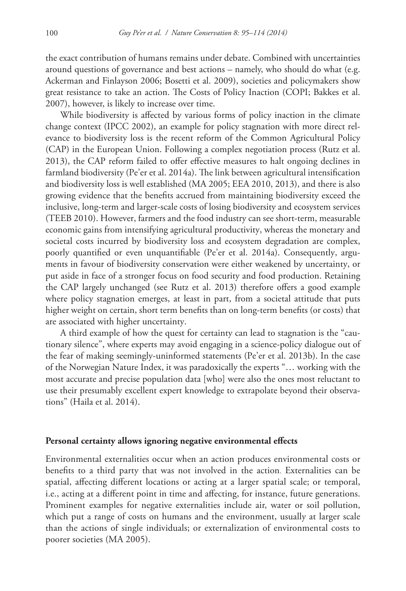the exact contribution of humans remains under debate. Combined with uncertainties around questions of governance and best actions – namely, who should do what (e.g. Ackerman and Finlayson 2006; Bosetti et al. 2009), societies and policymakers show great resistance to take an action. The Costs of Policy Inaction (COPI; Bakkes et al. 2007), however, is likely to increase over time.

While biodiversity is affected by various forms of policy inaction in the climate change context (IPCC 2002), an example for policy stagnation with more direct relevance to biodiversity loss is the recent reform of the Common Agricultural Policy (CAP) in the European Union. Following a complex negotiation process (Rutz et al. 2013), the CAP reform failed to offer effective measures to halt ongoing declines in farmland biodiversity (Pe'er et al. 2014a). The link between agricultural intensification and biodiversity loss is well established (MA 2005; EEA 2010, 2013), and there is also growing evidence that the benefits accrued from maintaining biodiversity exceed the inclusive, long-term and larger-scale costs of losing biodiversity and ecosystem services (TEEB 2010). However, farmers and the food industry can see short-term, measurable economic gains from intensifying agricultural productivity, whereas the monetary and societal costs incurred by biodiversity loss and ecosystem degradation are complex, poorly quantified or even unquantifiable (Pe'er et al. 2014a). Consequently, arguments in favour of biodiversity conservation were either weakened by uncertainty, or put aside in face of a stronger focus on food security and food production. Retaining the CAP largely unchanged (see Rutz et al. 2013) therefore offers a good example where policy stagnation emerges, at least in part, from a societal attitude that puts higher weight on certain, short term benefits than on long-term benefits (or costs) that are associated with higher uncertainty.

A third example of how the quest for certainty can lead to stagnation is the "cautionary silence", where experts may avoid engaging in a science-policy dialogue out of the fear of making seemingly-uninformed statements (Pe'er et al. 2013b). In the case of the Norwegian Nature Index, it was paradoxically the experts "… working with the most accurate and precise population data [who] were also the ones most reluctant to use their presumably excellent expert knowledge to extrapolate beyond their observations" (Haila et al. 2014).

## **Personal certainty allows ignoring negative environmental effects**

Environmental externalities occur when an action produces environmental costs or benefits to a third party that was not involved in the action. Externalities can be spatial, affecting different locations or acting at a larger spatial scale; or temporal, i.e., acting at a different point in time and affecting, for instance, future generations. Prominent examples for negative externalities include air, water or soil pollution, which put a range of costs on humans and the environment, usually at larger scale than the actions of single individuals; or externalization of environmental costs to poorer societies (MA 2005).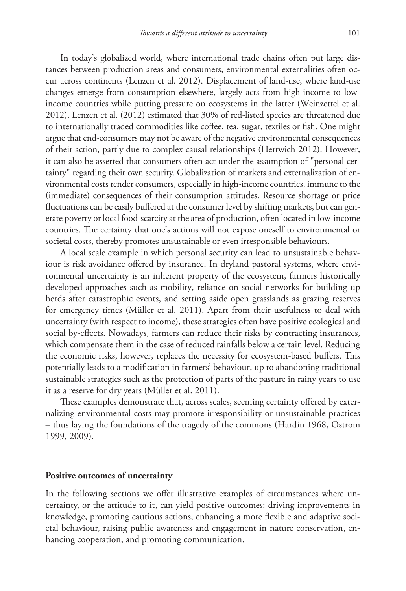In today's globalized world, where international trade chains often put large distances between production areas and consumers, environmental externalities often occur across continents (Lenzen et al. 2012). Displacement of land-use, where land-use changes emerge from consumption elsewhere, largely acts from high-income to lowincome countries while putting pressure on ecosystems in the latter (Weinzettel et al. 2012). Lenzen et al. (2012) estimated that 30% of red-listed species are threatened due to internationally traded commodities like coffee, tea, sugar, textiles or fish. One might argue that end-consumers may not be aware of the negative environmental consequences of their action, partly due to complex causal relationships (Hertwich 2012). However, it can also be asserted that consumers often act under the assumption of "personal certainty" regarding their own security. Globalization of markets and externalization of environmental costs render consumers, especially in high-income countries, immune to the (immediate) consequences of their consumption attitudes. Resource shortage or price fluctuations can be easily buffered at the consumer level by shifting markets, but can generate poverty or local food-scarcity at the area of production, often located in low-income countries. The certainty that one's actions will not expose oneself to environmental or societal costs, thereby promotes unsustainable or even irresponsible behaviours.

A local scale example in which personal security can lead to unsustainable behaviour is risk avoidance offered by insurance. In dryland pastoral systems, where environmental uncertainty is an inherent property of the ecosystem, farmers historically developed approaches such as mobility, reliance on social networks for building up herds after catastrophic events, and setting aside open grasslands as grazing reserves for emergency times (Müller et al. 2011). Apart from their usefulness to deal with uncertainty (with respect to income), these strategies often have positive ecological and social by-effects. Nowadays, farmers can reduce their risks by contracting insurances, which compensate them in the case of reduced rainfalls below a certain level. Reducing the economic risks, however, replaces the necessity for ecosystem-based buffers. This potentially leads to a modification in farmers' behaviour, up to abandoning traditional sustainable strategies such as the protection of parts of the pasture in rainy years to use it as a reserve for dry years (Müller et al. 2011).

These examples demonstrate that, across scales, seeming certainty offered by externalizing environmental costs may promote irresponsibility or unsustainable practices – thus laying the foundations of the tragedy of the commons (Hardin 1968, Ostrom 1999, 2009).

#### **Positive outcomes of uncertainty**

In the following sections we offer illustrative examples of circumstances where uncertainty, or the attitude to it, can yield positive outcomes: driving improvements in knowledge, promoting cautious actions, enhancing a more flexible and adaptive societal behaviour, raising public awareness and engagement in nature conservation, enhancing cooperation, and promoting communication.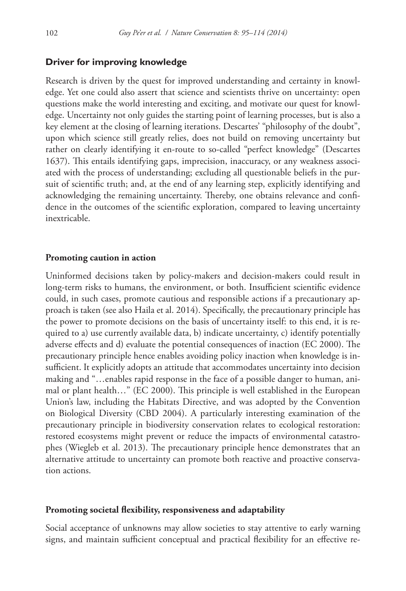### **Driver for improving knowledge**

Research is driven by the quest for improved understanding and certainty in knowledge. Yet one could also assert that science and scientists thrive on uncertainty: open questions make the world interesting and exciting, and motivate our quest for knowledge. Uncertainty not only guides the starting point of learning processes, but is also a key element at the closing of learning iterations. Descartes' "philosophy of the doubt", upon which science still greatly relies, does not build on removing uncertainty but rather on clearly identifying it en-route to so-called "perfect knowledge" (Descartes 1637). This entails identifying gaps, imprecision, inaccuracy, or any weakness associated with the process of understanding; excluding all questionable beliefs in the pursuit of scientific truth; and, at the end of any learning step, explicitly identifying and acknowledging the remaining uncertainty. Thereby, one obtains relevance and confidence in the outcomes of the scientific exploration, compared to leaving uncertainty inextricable.

#### **Promoting caution in action**

Uninformed decisions taken by policy-makers and decision-makers could result in long-term risks to humans, the environment, or both. Insufficient scientific evidence could, in such cases, promote cautious and responsible actions if a precautionary approach is taken (see also Haila et al. 2014). Specifically, the precautionary principle has the power to promote decisions on the basis of uncertainty itself: to this end, it is required to a) use currently available data, b) indicate uncertainty, c) identify potentially adverse effects and d) evaluate the potential consequences of inaction (EC 2000). The precautionary principle hence enables avoiding policy inaction when knowledge is insufficient. It explicitly adopts an attitude that accommodates uncertainty into decision making and "…enables rapid response in the face of a possible danger to human, animal or plant health…" (EC 2000). This principle is well established in the European Union's law, including the Habitats Directive, and was adopted by the Convention on Biological Diversity (CBD 2004). A particularly interesting examination of the precautionary principle in biodiversity conservation relates to ecological restoration: restored ecosystems might prevent or reduce the impacts of environmental catastrophes (Wiegleb et al. 2013). The precautionary principle hence demonstrates that an alternative attitude to uncertainty can promote both reactive and proactive conservation actions.

#### **Promoting societal flexibility, responsiveness and adaptability**

Social acceptance of unknowns may allow societies to stay attentive to early warning signs, and maintain sufficient conceptual and practical flexibility for an effective re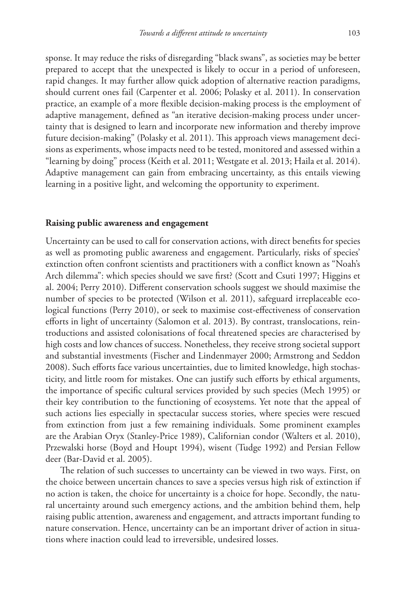sponse. It may reduce the risks of disregarding "black swans", as societies may be better prepared to accept that the unexpected is likely to occur in a period of unforeseen, rapid changes. It may further allow quick adoption of alternative reaction paradigms, should current ones fail (Carpenter et al. 2006; Polasky et al. 2011). In conservation practice, an example of a more flexible decision-making process is the employment of adaptive management, defined as "an iterative decision-making process under uncertainty that is designed to learn and incorporate new information and thereby improve future decision-making" (Polasky et al. 2011). This approach views management decisions as experiments, whose impacts need to be tested, monitored and assessed within a "learning by doing" process (Keith et al. 2011; Westgate et al. 2013; Haila et al. 2014). Adaptive management can gain from embracing uncertainty, as this entails viewing learning in a positive light, and welcoming the opportunity to experiment.

### **Raising public awareness and engagement**

Uncertainty can be used to call for conservation actions, with direct benefits for species as well as promoting public awareness and engagement. Particularly, risks of species' extinction often confront scientists and practitioners with a conflict known as "Noah's Arch dilemma": which species should we save first? (Scott and Csuti 1997; Higgins et al. 2004; Perry 2010). Different conservation schools suggest we should maximise the number of species to be protected (Wilson et al. 2011), safeguard irreplaceable ecological functions (Perry 2010), or seek to maximise cost-effectiveness of conservation efforts in light of uncertainty (Salomon et al. 2013). By contrast, translocations, reintroductions and assisted colonisations of focal threatened species are characterised by high costs and low chances of success. Nonetheless, they receive strong societal support and substantial investments (Fischer and Lindenmayer 2000; Armstrong and Seddon 2008). Such efforts face various uncertainties, due to limited knowledge, high stochasticity, and little room for mistakes. One can justify such efforts by ethical arguments, the importance of specific cultural services provided by such species (Mech 1995) or their key contribution to the functioning of ecosystems. Yet note that the appeal of such actions lies especially in spectacular success stories, where species were rescued from extinction from just a few remaining individuals. Some prominent examples are the Arabian Oryx (Stanley-Price 1989), Californian condor (Walters et al. 2010), Przewalski horse (Boyd and Houpt 1994), wisent (Tudge 1992) and Persian Fellow deer (Bar-David et al. 2005).

The relation of such successes to uncertainty can be viewed in two ways. First, on the choice between uncertain chances to save a species versus high risk of extinction if no action is taken, the choice for uncertainty is a choice for hope. Secondly, the natural uncertainty around such emergency actions, and the ambition behind them, help raising public attention, awareness and engagement, and attracts important funding to nature conservation. Hence, uncertainty can be an important driver of action in situations where inaction could lead to irreversible, undesired losses.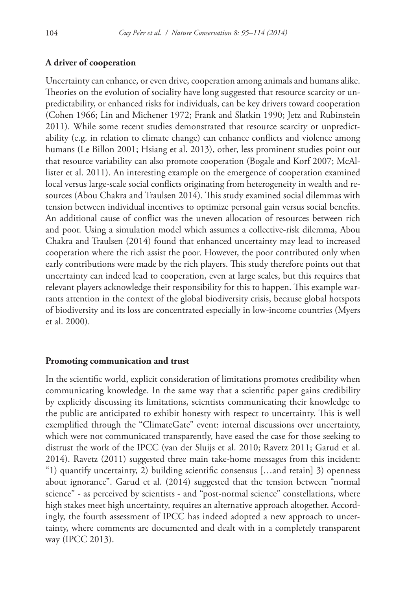# **A driver of cooperation**

Uncertainty can enhance, or even drive, cooperation among animals and humans alike. Theories on the evolution of sociality have long suggested that resource scarcity or unpredictability, or enhanced risks for individuals, can be key drivers toward cooperation (Cohen 1966; Lin and Michener 1972; Frank and Slatkin 1990; Jetz and Rubinstein 2011). While some recent studies demonstrated that resource scarcity or unpredictability (e.g. in relation to climate change) can enhance conflicts and violence among humans (Le Billon 2001; Hsiang et al. 2013), other, less prominent studies point out that resource variability can also promote cooperation (Bogale and Korf 2007; McAllister et al. 2011). An interesting example on the emergence of cooperation examined local versus large-scale social conflicts originating from heterogeneity in wealth and resources (Abou Chakra and Traulsen 2014). This study examined social dilemmas with tension between individual incentives to optimize personal gain versus social benefits. An additional cause of conflict was the uneven allocation of resources between rich and poor. Using a simulation model which assumes a collective-risk dilemma, Abou Chakra and Traulsen (2014) found that enhanced uncertainty may lead to increased cooperation where the rich assist the poor. However, the poor contributed only when early contributions were made by the rich players. This study therefore points out that uncertainty can indeed lead to cooperation, even at large scales, but this requires that relevant players acknowledge their responsibility for this to happen. This example warrants attention in the context of the global biodiversity crisis, because global hotspots of biodiversity and its loss are concentrated especially in low-income countries (Myers et al. 2000).

#### **Promoting communication and trust**

In the scientific world, explicit consideration of limitations promotes credibility when communicating knowledge. In the same way that a scientific paper gains credibility by explicitly discussing its limitations, scientists communicating their knowledge to the public are anticipated to exhibit honesty with respect to uncertainty. This is well exemplified through the "ClimateGate" event: internal discussions over uncertainty, which were not communicated transparently, have eased the case for those seeking to distrust the work of the IPCC (van der Sluijs et al. 2010; Ravetz 2011; Garud et al. 2014). Ravetz (2011) suggested three main take-home messages from this incident: "1) quantify uncertainty, 2) building scientific consensus […and retain] 3) openness about ignorance". Garud et al. (2014) suggested that the tension between "normal science" - as perceived by scientists - and "post-normal science" constellations, where high stakes meet high uncertainty, requires an alternative approach altogether. Accordingly, the fourth assessment of IPCC has indeed adopted a new approach to uncertainty, where comments are documented and dealt with in a completely transparent way (IPCC 2013).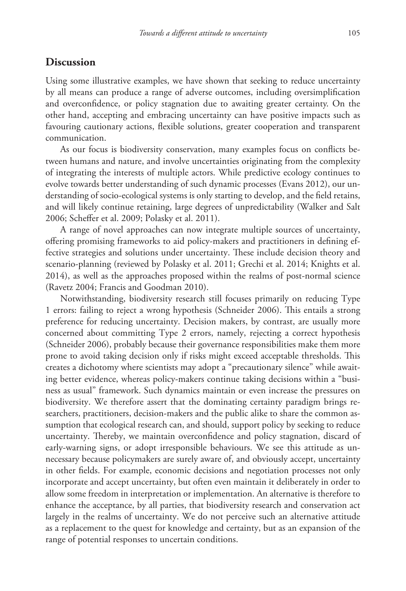# **Discussion**

Using some illustrative examples, we have shown that seeking to reduce uncertainty by all means can produce a range of adverse outcomes, including oversimplification and overconfidence, or policy stagnation due to awaiting greater certainty. On the other hand, accepting and embracing uncertainty can have positive impacts such as favouring cautionary actions, flexible solutions, greater cooperation and transparent communication.

As our focus is biodiversity conservation, many examples focus on conflicts between humans and nature, and involve uncertainties originating from the complexity of integrating the interests of multiple actors. While predictive ecology continues to evolve towards better understanding of such dynamic processes (Evans 2012), our understanding of socio-ecological systems is only starting to develop, and the field retains, and will likely continue retaining, large degrees of unpredictability (Walker and Salt 2006; Scheffer et al. 2009; Polasky et al. 2011).

A range of novel approaches can now integrate multiple sources of uncertainty, offering promising frameworks to aid policy-makers and practitioners in defining effective strategies and solutions under uncertainty. These include decision theory and scenario-planning (reviewed by Polasky et al. 2011; Grechi et al. 2014; Knights et al. 2014), as well as the approaches proposed within the realms of post-normal science (Ravetz 2004; Francis and Goodman 2010).

Notwithstanding, biodiversity research still focuses primarily on reducing Type 1 errors: failing to reject a wrong hypothesis (Schneider 2006). This entails a strong preference for reducing uncertainty. Decision makers, by contrast, are usually more concerned about committing Type 2 errors, namely, rejecting a correct hypothesis (Schneider 2006), probably because their governance responsibilities make them more prone to avoid taking decision only if risks might exceed acceptable thresholds. This creates a dichotomy where scientists may adopt a "precautionary silence" while awaiting better evidence, whereas policy-makers continue taking decisions within a "business as usual" framework. Such dynamics maintain or even increase the pressures on biodiversity. We therefore assert that the dominating certainty paradigm brings researchers, practitioners, decision-makers and the public alike to share the common assumption that ecological research can, and should, support policy by seeking to reduce uncertainty. Thereby, we maintain overconfidence and policy stagnation, discard of early-warning signs, or adopt irresponsible behaviours. We see this attitude as unnecessary because policymakers are surely aware of, and obviously accept, uncertainty in other fields. For example, economic decisions and negotiation processes not only incorporate and accept uncertainty, but often even maintain it deliberately in order to allow some freedom in interpretation or implementation. An alternative is therefore to enhance the acceptance, by all parties, that biodiversity research and conservation act largely in the realms of uncertainty. We do not perceive such an alternative attitude as a replacement to the quest for knowledge and certainty, but as an expansion of the range of potential responses to uncertain conditions.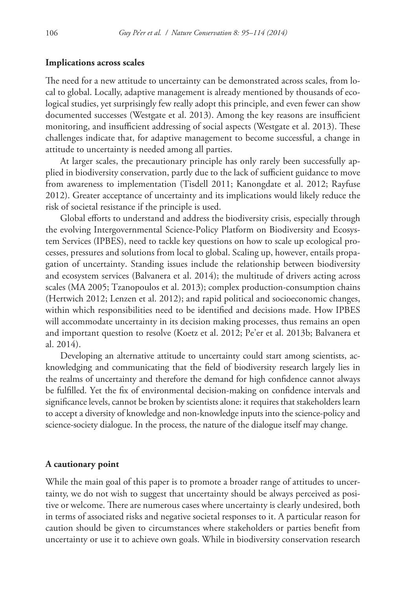#### **Implications across scales**

The need for a new attitude to uncertainty can be demonstrated across scales, from local to global. Locally, adaptive management is already mentioned by thousands of ecological studies, yet surprisingly few really adopt this principle, and even fewer can show documented successes (Westgate et al. 2013). Among the key reasons are insufficient monitoring, and insufficient addressing of social aspects (Westgate et al. 2013). These challenges indicate that, for adaptive management to become successful, a change in attitude to uncertainty is needed among all parties.

At larger scales, the precautionary principle has only rarely been successfully applied in biodiversity conservation, partly due to the lack of sufficient guidance to move from awareness to implementation (Tisdell 2011; Kanongdate et al. 2012; Rayfuse 2012). Greater acceptance of uncertainty and its implications would likely reduce the risk of societal resistance if the principle is used.

Global efforts to understand and address the biodiversity crisis, especially through the evolving Intergovernmental Science-Policy Platform on Biodiversity and Ecosystem Services (IPBES), need to tackle key questions on how to scale up ecological processes, pressures and solutions from local to global. Scaling up, however, entails propagation of uncertainty. Standing issues include the relationship between biodiversity and ecosystem services (Balvanera et al. 2014); the multitude of drivers acting across scales (MA 2005; Tzanopoulos et al. 2013); complex production-consumption chains (Hertwich 2012; Lenzen et al. 2012); and rapid political and socioeconomic changes, within which responsibilities need to be identified and decisions made. How IPBES will accommodate uncertainty in its decision making processes, thus remains an open and important question to resolve (Koetz et al. 2012; Pe'er et al. 2013b; Balvanera et al. 2014).

Developing an alternative attitude to uncertainty could start among scientists, acknowledging and communicating that the field of biodiversity research largely lies in the realms of uncertainty and therefore the demand for high confidence cannot always be fulfilled. Yet the fix of environmental decision-making on confidence intervals and significance levels, cannot be broken by scientists alone: it requires that stakeholders learn to accept a diversity of knowledge and non-knowledge inputs into the science-policy and science-society dialogue. In the process, the nature of the dialogue itself may change.

#### **A cautionary point**

While the main goal of this paper is to promote a broader range of attitudes to uncertainty, we do not wish to suggest that uncertainty should be always perceived as positive or welcome. There are numerous cases where uncertainty is clearly undesired, both in terms of associated risks and negative societal responses to it. A particular reason for caution should be given to circumstances where stakeholders or parties benefit from uncertainty or use it to achieve own goals. While in biodiversity conservation research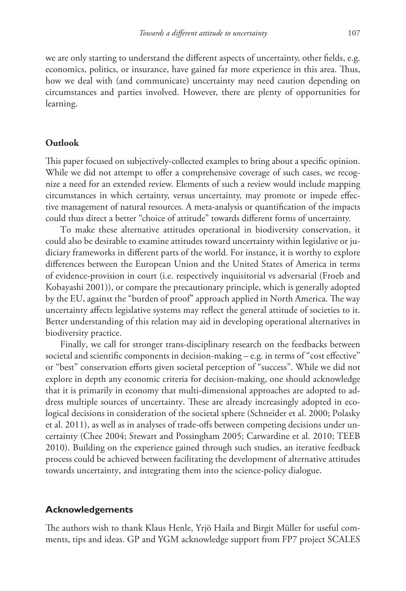we are only starting to understand the different aspects of uncertainty, other fields, e.g. economics, politics, or insurance, have gained far more experience in this area. Thus, how we deal with (and communicate) uncertainty may need caution depending on circumstances and parties involved. However, there are plenty of opportunities for learning.

#### **Outlook**

This paper focused on subjectively-collected examples to bring about a specific opinion. While we did not attempt to offer a comprehensive coverage of such cases, we recognize a need for an extended review. Elements of such a review would include mapping circumstances in which certainty, versus uncertainty, may promote or impede effective management of natural resources. A meta-analysis or quantification of the impacts could thus direct a better "choice of attitude" towards different forms of uncertainty.

To make these alternative attitudes operational in biodiversity conservation, it could also be desirable to examine attitudes toward uncertainty within legislative or judiciary frameworks in different parts of the world. For instance, it is worthy to explore differences between the European Union and the United States of America in terms of evidence-provision in court (i.e. respectively inquisitorial vs adversarial (Froeb and Kobayashi 2001)), or compare the precautionary principle, which is generally adopted by the EU, against the "burden of proof" approach applied in North America. The way uncertainty affects legislative systems may reflect the general attitude of societies to it. Better understanding of this relation may aid in developing operational alternatives in biodiversity practice.

Finally, we call for stronger trans-disciplinary research on the feedbacks between societal and scientific components in decision-making  $-e.g.$  in terms of "cost effective" or "best" conservation efforts given societal perception of "success". While we did not explore in depth any economic criteria for decision-making, one should acknowledge that it is primarily in economy that multi-dimensional approaches are adopted to address multiple sources of uncertainty. These are already increasingly adopted in ecological decisions in consideration of the societal sphere (Schneider et al. 2000; Polasky et al. 2011), as well as in analyses of trade-offs between competing decisions under uncertainty (Chee 2004; Stewart and Possingham 2005; Carwardine et al. 2010; TEEB 2010). Building on the experience gained through such studies, an iterative feedback process could be achieved between facilitating the development of alternative attitudes towards uncertainty, and integrating them into the science-policy dialogue.

#### **Acknowledgements**

The authors wish to thank Klaus Henle, Yrjö Haila and Birgit Müller for useful comments, tips and ideas. GP and YGM acknowledge support from FP7 project SCALES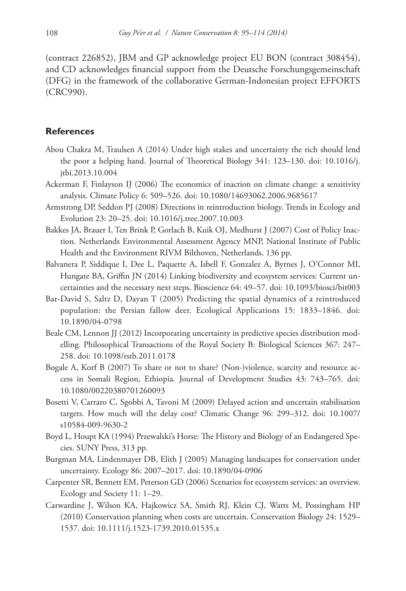(contract 226852), JBM and GP acknowledge project EU BON (contract 308454), and CD acknowledges financial support from the Deutsche Forschungsgemeinschaft (DFG) in the framework of the collaborative German-Indonesian project EFFORTS (CRC990).

## **References**

- Abou Chakra M, Traulsen A (2014) Under high stakes and uncertainty the rich should lend the poor a helping hand. Journal of Theoretical Biology 341: 123–130. [doi: 10.1016/j.](http://dx.doi.org/10.1016/j.jtbi.2013.10.004) [jtbi.2013.10.004](http://dx.doi.org/10.1016/j.jtbi.2013.10.004)
- Ackerman F, Finlayson IJ (2006) The economics of inaction on climate change: a sensitivity analysis. Climate Policy 6: 509–526. [doi: 10.1080/14693062.2006.9685617](http://dx.doi.org/10.1080/14693062.2006.9685617)
- Armstrong DP, Seddon PJ (2008) Directions in reintroduction biology. Trends in Ecology and Evolution 23: 20–25. [doi: 10.1016/j.tree.2007.10.003](http://dx.doi.org/10.1016/j.tree.2007.10.003)
- Bakkes JA, Brauer I, Ten Brink P, Gorlach B, Kuik OJ, Medhurst J (2007) Cost of Policy Inaction. Netherlands Environmental Assessment Agency MNP, National Institute of Public Health and the Environment RIVM Bilthoven, Netherlands, 136 pp.
- Balvanera P, Siddique I, Dee L, Paquette A, Isbell F, Gonzalez A, Byrnes J, O'Connor MI, Hungate BA, Griffin JN (2014) Linking biodiversity and ecosystem services: Current uncertainties and the necessary next steps. Bioscience 64: 49–57. [doi: 10.1093/biosci/bit003](http://dx.doi.org/10.1093/biosci/bit003)
- Bar-David S, Saltz D, Dayan T (2005) Predicting the spatial dynamics of a reintroduced population: the Persian fallow deer. Ecological Applications 15: 1833–1846. [doi:](http://dx.doi.org/10.1890/04-0798) [10.1890/04-0798](http://dx.doi.org/10.1890/04-0798)
- Beale CM, Lennon JJ (2012) Incorporating uncertainty in predictive species distribution modelling. Philosophical Transactions of the Royal Society B: Biological Sciences 367: 247– 258. [doi: 10.1098/rstb.2011.0178](http://dx.doi.org/10.1098/rstb.2011.0178)
- Bogale A, Korf B (2007) To share or not to share? (Non-)violence, scarcity and resource access in Somali Region, Ethiopia. Journal of Development Studies 43: 743–765. [doi:](http://dx.doi.org/10.1080/00220380701260093) [10.1080/00220380701260093](http://dx.doi.org/10.1080/00220380701260093)
- Bosetti V, Carraro C, Sgobbi A, Tavoni M (2009) Delayed action and uncertain stabilisation targets. How much will the delay cost? Climatic Change 96: 299–312. [doi: 10.1007/](http://dx.doi.org/10.1007/s10584-009-9630-2) [s10584-009-9630-2](http://dx.doi.org/10.1007/s10584-009-9630-2)
- Boyd L, Houpt KA (1994) Przewalski's Horse: The History and Biology of an Endangered Species. SUNY Press, 313 pp.
- Burgman MA, Lindenmayer DB, Elith J (2005) Managing landscapes for conservation under uncertainty. Ecology 86: 2007–2017. [doi: 10.1890/04-0906](http://dx.doi.org/10.1890/04-0906)
- Carpenter SR, Bennett EM, Peterson GD (2006) Scenarios for ecosystem services: an overview. Ecology and Society 11: 1–29.
- Carwardine J, Wilson KA, Hajkowicz SA, Smith RJ, Klein CJ, Watts M, Possingham HP (2010) Conservation planning when costs are uncertain. Conservation Biology 24: 1529– 1537. [doi: 10.1111/j.1523-1739.2010.01535.x](http://dx.doi.org/10.1111/j.1523-1739.2010.01535.x)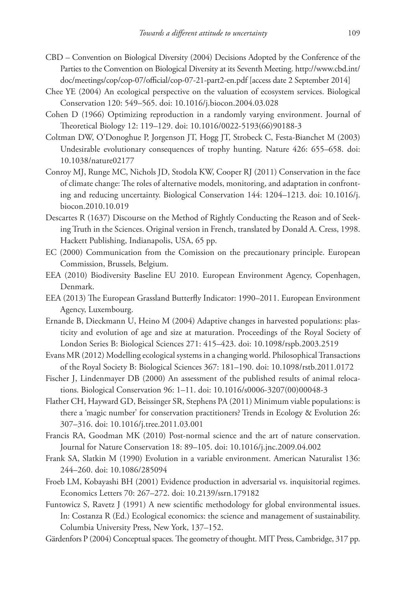- CBD Convention on Biological Diversity (2004) Decisions Adopted by the Conference of the Parties to the Convention on Biological Diversity at its Seventh Meeting. [http://www.cbd.int/](http://www.cbd.int/doc/meetings/cop/cop-07/official/cop-07-21-part2-en.pdf) [doc/meetings/cop/cop-07/official/cop-07-21-part2-en.pdf](http://www.cbd.int/doc/meetings/cop/cop-07/official/cop-07-21-part2-en.pdf) [access date 2 September 2014]
- Chee YE (2004) An ecological perspective on the valuation of ecosystem services. Biological Conservation 120: 549–565. [doi: 10.1016/j.biocon.2004.03.028](http://dx.doi.org/10.1016/j.biocon.2004.03.028)
- Cohen D (1966) Optimizing reproduction in a randomly varying environment. Journal of Theoretical Biology 12: 119–129. [doi: 10.1016/0022-5193\(66\)90188-3](http://dx.doi.org/10.1016/0022-5193(66)90188-3)
- Coltman DW, O'Donoghue P, Jorgenson JT, Hogg JT, Strobeck C, Festa-Bianchet M (2003) Undesirable evolutionary consequences of trophy hunting. Nature 426: 655–658. [doi:](http://dx.doi.org/10.1038/nature02177) [10.1038/nature02177](http://dx.doi.org/10.1038/nature02177)
- Conroy MJ, Runge MC, Nichols JD, Stodola KW, Cooper RJ (2011) Conservation in the face of climate change: The roles of alternative models, monitoring, and adaptation in confronting and reducing uncertainty. Biological Conservation 144: 1204–1213. [doi: 10.1016/j.](http://dx.doi.org/10.1016/j.biocon.2010.10.019) [biocon.2010.10.019](http://dx.doi.org/10.1016/j.biocon.2010.10.019)
- Descartes R (1637) Discourse on the Method of Rightly Conducting the Reason and of Seeking Truth in the Sciences. Original version in French, translated by Donald A. Cress, 1998. Hackett Publishing, Indianapolis, USA, 65 pp.
- EC (2000) Communication from the Comission on the precautionary principle. European Commission, Brussels, Belgium.
- EEA (2010) Biodiversity Baseline EU 2010. European Environment Agency, Copenhagen, Denmark.
- EEA (2013) The European Grassland Butterfly Indicator: 1990–2011. European Environment Agency, Luxembourg.
- Ernande B, Dieckmann U, Heino M (2004) Adaptive changes in harvested populations: plasticity and evolution of age and size at maturation. Proceedings of the Royal Society of London Series B: Biological Sciences 271: 415–423. [doi: 10.1098/rspb.2003.2519](http://dx.doi.org/10.1098/rspb.2003.2519)
- Evans MR (2012) Modelling ecological systems in a changing world. Philosophical Transactions of the Royal Society B: Biological Sciences 367: 181–190. [doi: 10.1098/rstb.2011.0172](http://dx.doi.org/10.1098/rstb.2011.0172)
- Fischer J, Lindenmayer DB (2000) An assessment of the published results of animal relocations. Biological Conservation 96: 1–11. [doi: 10.1016/s0006-3207\(00\)00048-3](http://dx.doi.org/10.1016/s0006-3207(00)00048-3)
- Flather CH, Hayward GD, Beissinger SR, Stephens PA (2011) Minimum viable populations: is there a 'magic number' for conservation practitioners? Trends in Ecology & Evolution 26: 307–316. [doi: 10.1016/j.tree.2011.03.001](http://dx.doi.org/10.1016/j.tree.2011.03.001)
- Francis RA, Goodman MK (2010) Post-normal science and the art of nature conservation. Journal for Nature Conservation 18: 89–105. [doi: 10.1016/j.jnc.2009.04.002](http://dx.doi.org/10.1016/j.jnc.2009.04.002)
- Frank SA, Slatkin M (1990) Evolution in a variable environment. American Naturalist 136: 244–260. [doi: 10.1086/285094](http://dx.doi.org/10.1086/285094)
- Froeb LM, Kobayashi BH (2001) Evidence production in adversarial vs. inquisitorial regimes. Economics Letters 70: 267–272. [doi: 10.2139/ssrn.179182](http://dx.doi.org/10.2139/ssrn.179182)
- Funtowicz S, Ravetz J (1991) A new scientific methodology for global environmental issues. In: Costanza R (Ed.) Ecological economics: the science and management of sustainability. Columbia University Press, New York, 137–152.
- Gärdenfors P (2004) Conceptual spaces. The geometry of thought. MIT Press, Cambridge, 317 pp.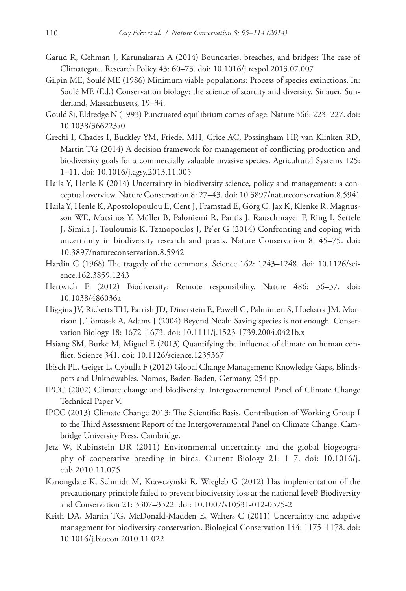- Garud R, Gehman J, Karunakaran A (2014) Boundaries, breaches, and bridges: The case of Climategate. Research Policy 43: 60–73. [doi: 10.1016/j.respol.2013.07.007](http://dx.doi.org/10.1016/j.respol.2013.07.007)
- Gilpin ME, Soulé ME (1986) Minimum viable populations: Process of species extinctions. In: Soulé ME (Ed.) Conservation biology: the science of scarcity and diversity. Sinauer, Sunderland, Massachusetts, 19–34.
- Gould Sj, Eldredge N (1993) Punctuated equilibrium comes of age. Nature 366: 223–227. [doi:](http://dx.doi.org/10.1038/366223a0) [10.1038/366223a0](http://dx.doi.org/10.1038/366223a0)
- Grechi I, Chades I, Buckley YM, Friedel MH, Grice AC, Possingham HP, van Klinken RD, Martin TG (2014) A decision framework for management of conflicting production and biodiversity goals for a commercially valuable invasive species. Agricultural Systems 125: 1–11. [doi: 10.1016/j.agsy.2013.11.005](http://dx.doi.org/10.1016/j.agsy.2013.11.005)
- Haila Y, Henle K (2014) Uncertainty in biodiversity science, policy and management: a conceptual overview. Nature Conservation 8: 27–43. [doi: 10.3897/natureconservation.8.5941](http://dx.doi.org/10.3897/natureconservation.8.5941)
- Haila Y, Henle K, Apostolopoulou E, Cent J, Framstad E, Görg C, Jax K, Klenke R, Magnusson WE, Matsinos Y, Müller B, Paloniemi R, Pantis J, Rauschmayer F, Ring I, Settele J, Similä J, Touloumis K, Tzanopoulos J, Pe'er G (2014) Confronting and coping with uncertainty in biodiversity research and praxis. Nature Conservation 8: 45–75. [doi:](http://dx.doi.org/10.3897/natureconservation.8.5942) [10.3897/natureconservation.8.5942](http://dx.doi.org/10.3897/natureconservation.8.5942)
- Hardin G (1968) The tragedy of the commons. Science 162: 1243–1248. [doi: 10.1126/sci](http://dx.doi.org/10.1126/science.162.3859.1243)[ence.162.3859.1243](http://dx.doi.org/10.1126/science.162.3859.1243)
- Hertwich E (2012) Biodiversity: Remote responsibility. Nature 486: 36–37. [doi:](http://dx.doi.org/10.1038/486036a) [10.1038/486036a](http://dx.doi.org/10.1038/486036a)
- Higgins JV, Ricketts TH, Parrish JD, Dinerstein E, Powell G, Palminteri S, Hoekstra JM, Morrison J, Tomasek A, Adams J (2004) Beyond Noah: Saving species is not enough. Conservation Biology 18: 1672–1673. [doi: 10.1111/j.1523-1739.2004.0421b.x](http://dx.doi.org/10.1111/j.1523-1739.2004.0421b.x)
- Hsiang SM, Burke M, Miguel E (2013) Quantifying the influence of climate on human conflict. Science 341. [doi: 10.1126/science.1235367](http://dx.doi.org/10.1126/science.1235367)
- Ibisch PL, Geiger L, Cybulla F (2012) Global Change Management: Knowledge Gaps, Blindspots and Unknowables. Nomos, Baden-Baden, Germany, 254 pp.
- IPCC (2002) Climate change and biodiversity. Intergovernmental Panel of Climate Change Technical Paper V.
- IPCC (2013) Climate Change 2013: The Scientific Basis. Contribution of Working Group I to the Third Assessment Report of the Intergovernmental Panel on Climate Change. Cambridge University Press, Cambridge.
- Jetz W, Rubinstein DR (2011) Environmental uncertainty and the global biogeography of cooperative breeding in birds. Current Biology 21: 1–7. [doi: 10.1016/j.](http://dx.doi.org/10.1016/j.cub.2010.11.075) [cub.2010.11.075](http://dx.doi.org/10.1016/j.cub.2010.11.075)
- Kanongdate K, Schmidt M, Krawczynski R, Wiegleb G (2012) Has implementation of the precautionary principle failed to prevent biodiversity loss at the national level? Biodiversity and Conservation 21: 3307–3322. [doi: 10.1007/s10531-012-0375-2](http://dx.doi.org/10.1007/s10531-012-0375-2)
- Keith DA, Martin TG, McDonald-Madden E, Walters C (2011) Uncertainty and adaptive management for biodiversity conservation. Biological Conservation 144: 1175–1178. [doi:](http://dx.doi.org/10.1016/j.biocon.2010.11.022) [10.1016/j.biocon.2010.11.022](http://dx.doi.org/10.1016/j.biocon.2010.11.022)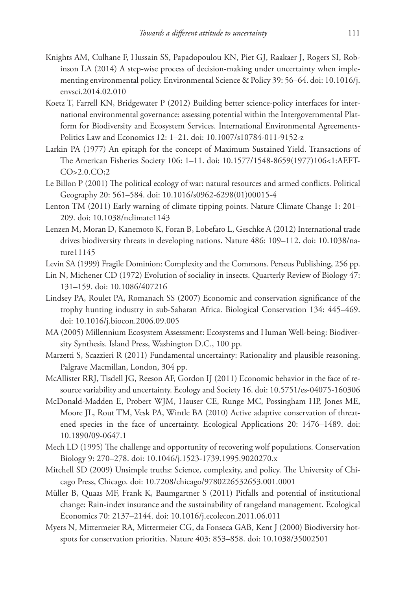- Knights AM, Culhane F, Hussain SS, Papadopoulou KN, Piet GJ, Raakaer J, Rogers SI, Robinson LA (2014) A step-wise process of decision-making under uncertainty when implementing environmental policy. Environmental Science & Policy 39: 56–64. [doi: 10.1016/j.](http://dx.doi.org/10.1016/j.envsci.2014.02.010) [envsci.2014.02.010](http://dx.doi.org/10.1016/j.envsci.2014.02.010)
- Koetz T, Farrell KN, Bridgewater P (2012) Building better science-policy interfaces for international environmental governance: assessing potential within the Intergovernmental Platform for Biodiversity and Ecosystem Services. International Environmental Agreements-Politics Law and Economics 12: 1–21. [doi: 10.1007/s10784-011-9152-z](http://dx.doi.org/10.1007/s10784-011-9152-z)
- Larkin PA (1977) An epitaph for the concept of Maximum Sustained Yield. Transactions of The American Fisheries Society 106: 1–11. [doi: 10.1577/1548-8659\(1977\)106<1:AEFT-](http://dx.doi.org/10.1577/1548-8659(1977)106%3C1:AEFTCO%3E2.0.CO;2)[CO>2.0.CO;2](http://dx.doi.org/10.1577/1548-8659(1977)106%3C1:AEFTCO%3E2.0.CO;2)
- Le Billon P (2001) The political ecology of war: natural resources and armed conflicts. Political Geography 20: 561–584. [doi: 10.1016/s0962-6298\(01\)00015-4](http://dx.doi.org/10.1016/s0962-6298(01)00015-4)
- Lenton TM (2011) Early warning of climate tipping points. Nature Climate Change 1: 201– 209. [doi: 10.1038/nclimate1143](http://dx.doi.org/10.1038/nclimate1143)
- Lenzen M, Moran D, Kanemoto K, Foran B, Lobefaro L, Geschke A (2012) International trade drives biodiversity threats in developing nations. Nature 486: 109–112. [doi: 10.1038/na](http://dx.doi.org/10.1038/nature11145)[ture11145](http://dx.doi.org/10.1038/nature11145)
- Levin SA (1999) Fragile Dominion: Complexity and the Commons. Perseus Publishing, 256 pp.
- Lin N, Michener CD (1972) Evolution of sociality in insects. Quarterly Review of Biology 47: 131–159. [doi: 10.1086/407216](http://dx.doi.org/10.1086/407216)
- Lindsey PA, Roulet PA, Romanach SS (2007) Economic and conservation significance of the trophy hunting industry in sub-Saharan Africa. Biological Conservation 134: 445–469. [doi: 10.1016/j.biocon.2006.09.005](http://dx.doi.org/10.1016/j.biocon.2006.09.005)
- MA (2005) Millennium Ecosystem Assessment: Ecosystems and Human Well-being: Biodiversity Synthesis. Island Press, Washington D.C., 100 pp.
- Marzetti S, Scazzieri R (2011) Fundamental uncertainty: Rationality and plausible reasoning. Palgrave Macmillan, London, 304 pp.
- McAllister RRJ, Tisdell JG, Reeson AF, Gordon IJ (2011) Economic behavior in the face of resource variability and uncertainty. Ecology and Society 16. [doi: 10.5751/es-04075-160306](http://dx.doi.org/10.5751/es-04075-160306)
- McDonald-Madden E, Probert WJM, Hauser CE, Runge MC, Possingham HP, Jones ME, Moore JL, Rout TM, Vesk PA, Wintle BA (2010) Active adaptive conservation of threatened species in the face of uncertainty. Ecological Applications 20: 1476–1489. [doi:](http://dx.doi.org/10.1890/09-0647.1) [10.1890/09-0647.1](http://dx.doi.org/10.1890/09-0647.1)
- Mech LD (1995) The challenge and opportunity of recovering wolf populations. Conservation Biology 9: 270–278. [doi: 10.1046/j.1523-1739.1995.9020270.x](http://dx.doi.org/10.1046/j.1523-1739.1995.9020270.x)
- Mitchell SD (2009) Unsimple truths: Science, complexity, and policy. The University of Chicago Press, Chicago. [doi: 10.7208/chicago/9780226532653.001.0001](http://dx.doi.org/10.7208/chicago/9780226532653.001.0001)
- Müller B, Quaas MF, Frank K, Baumgartner S (2011) Pitfalls and potential of institutional change: Rain-index insurance and the sustainability of rangeland management. Ecological Economics 70: 2137–2144. [doi: 10.1016/j.ecolecon.2011.06.011](http://dx.doi.org/10.1016/j.ecolecon.2011.06.011)
- Myers N, Mittermeier RA, Mittermeier CG, da Fonseca GAB, Kent J (2000) Biodiversity hotspots for conservation priorities. Nature 403: 853–858. [doi: 10.1038/35002501](http://dx.doi.org/10.1038/35002501)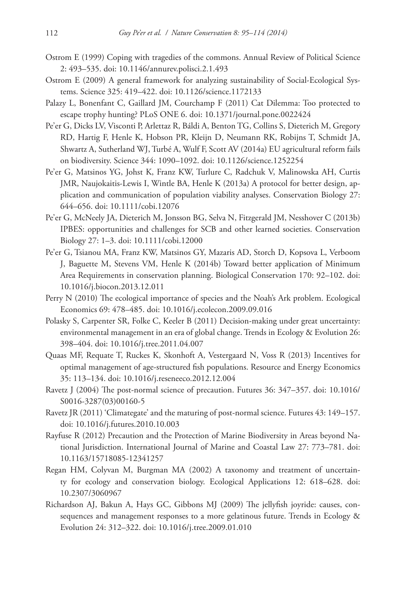- Ostrom E (1999) Coping with tragedies of the commons. Annual Review of Political Science 2: 493–535. [doi: 10.1146/annurev.polisci.2.1.493](http://dx.doi.org/10.1146/annurev.polisci.2.1.493)
- Ostrom E (2009) A general framework for analyzing sustainability of Social-Ecological Systems. Science 325: 419–422. [doi: 10.1126/science.1172133](http://dx.doi.org/10.1126/science.1172133)
- Palazy L, Bonenfant C, Gaillard JM, Courchamp F (2011) Cat Dilemma: Too protected to escape trophy hunting? PLoS ONE 6. [doi: 10.1371/journal.pone.0022424](http://dx.doi.org/10.1371/journal.pone.0022424)
- Pe'er G, Dicks LV, Visconti P, Arlettaz R, Báldi A, Benton TG, Collins S, Dieterich M, Gregory RD, Hartig F, Henle K, Hobson PR, Kleijn D, Neumann RK, Robijns T, Schmidt JA, Shwartz A, Sutherland WJ, Turbé A, Wulf F, Scott AV (2014a) EU agricultural reform fails on biodiversity. Science 344: 1090–1092. [doi: 10.1126/science.1252254](http://dx.doi.org/10.1126/science.1252254)
- Pe'er G, Matsinos YG, Johst K, Franz KW, Turlure C, Radchuk V, Malinowska AH, Curtis JMR, Naujokaitis-Lewis I, Wintle BA, Henle K (2013a) A protocol for better design, application and communication of population viability analyses. Conservation Biology 27: 644–656. [doi: 10.1111/cobi.12076](http://dx.doi.org/10.1111/cobi.12076)
- Pe'er G, McNeely JA, Dieterich M, Jonsson BG, Selva N, Fitzgerald JM, Nesshover C (2013b) IPBES: opportunities and challenges for SCB and other learned societies. Conservation Biology 27: 1–3. [doi: 10.1111/cobi.12000](http://dx.doi.org/10.1111/cobi.12000)
- Pe'er G, Tsianou MA, Franz KW, Matsinos GY, Mazaris AD, Storch D, Kopsova L, Verboom J, Baguette M, Stevens VM, Henle K (2014b) Toward better application of Minimum Area Requirements in conservation planning. Biological Conservation 170: 92–102. [doi:](http://dx.doi.org/10.1016/j.biocon.2013.12.011) [10.1016/j.biocon.2013.12.011](http://dx.doi.org/10.1016/j.biocon.2013.12.011)
- Perry N (2010) The ecological importance of species and the Noah's Ark problem. Ecological Economics 69: 478–485. [doi: 10.1016/j.ecolecon.2009.09.016](http://dx.doi.org/10.1016/j.ecolecon.2009.09.016)
- Polasky S, Carpenter SR, Folke C, Keeler B (2011) Decision-making under great uncertainty: environmental management in an era of global change. Trends in Ecology & Evolution 26: 398–404. [doi: 10.1016/j.tree.2011.04.007](http://dx.doi.org/10.1016/j.tree.2011.04.007)
- Quaas MF, Requate T, Ruckes K, Skonhoft A, Vestergaard N, Voss R (2013) Incentives for optimal management of age-structured fish populations. Resource and Energy Economics 35: 113–134. [doi: 10.1016/j.reseneeco.2012.12.004](http://dx.doi.org/10.1016/j.reseneeco.2012.12.004)
- Ravetz J (2004) The post-normal science of precaution. Futures 36: 347–357. [doi: 10.1016/](http://dx.doi.org/10.1016/S0016-3287(03)00160-5) [S0016-3287\(03\)00160-5](http://dx.doi.org/10.1016/S0016-3287(03)00160-5)
- Ravetz JR (2011) 'Climategate' and the maturing of post-normal science. Futures 43: 149–157. [doi: 10.1016/j.futures.2010.10.003](http://dx.doi.org/10.1016/j.futures.2010.10.003)
- Rayfuse R (2012) Precaution and the Protection of Marine Biodiversity in Areas beyond National Jurisdiction. International Journal of Marine and Coastal Law 27: 773–781. [doi:](http://dx.doi.org/10.1163/15718085-12341257) [10.1163/15718085-12341257](http://dx.doi.org/10.1163/15718085-12341257)
- Regan HM, Colyvan M, Burgman MA (2002) A taxonomy and treatment of uncertainty for ecology and conservation biology. Ecological Applications 12: 618–628. [doi:](http://dx.doi.org/10.2307/3060967) [10.2307/3060967](http://dx.doi.org/10.2307/3060967)
- Richardson AJ, Bakun A, Hays GC, Gibbons MJ (2009) The jellyfish joyride: causes, consequences and management responses to a more gelatinous future. Trends in Ecology & Evolution 24: 312–322. [doi: 10.1016/j.tree.2009.01.010](http://dx.doi.org/10.1016/j.tree.2009.01.010)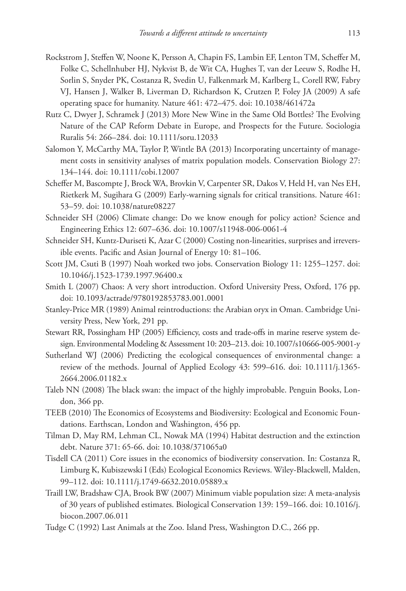- Rockstrom J, Steffen W, Noone K, Persson A, Chapin FS, Lambin EF, Lenton TM, Scheffer M, Folke C, Schellnhuber HJ, Nykvist B, de Wit CA, Hughes T, van der Leeuw S, Rodhe H, Sorlin S, Snyder PK, Costanza R, Svedin U, Falkenmark M, Karlberg L, Corell RW, Fabry VJ, Hansen J, Walker B, Liverman D, Richardson K, Crutzen P, Foley JA (2009) A safe operating space for humanity. Nature 461: 472–475. [doi: 10.1038/461472a](http://dx.doi.org/10.1038/461472a)
- Rutz C, Dwyer J, Schramek J (2013) More New Wine in the Same Old Bottles? The Evolving Nature of the CAP Reform Debate in Europe, and Prospects for the Future. Sociologia Ruralis 54: 266–284. [doi: 10.1111/soru.12033](http://dx.doi.org/10.1111/soru.12033)
- Salomon Y, McCarthy MA, Taylor P, Wintle BA (2013) Incorporating uncertainty of management costs in sensitivity analyses of matrix population models. Conservation Biology 27: 134–144. [doi: 10.1111/cobi.12007](http://dx.doi.org/10.1111/cobi.12007)
- Scheffer M, Bascompte J, Brock WA, Brovkin V, Carpenter SR, Dakos V, Held H, van Nes EH, Rietkerk M, Sugihara G (2009) Early-warning signals for critical transitions. Nature 461: 53–59. [doi: 10.1038/nature08227](http://dx.doi.org/10.1038/nature08227)
- Schneider SH (2006) Climate change: Do we know enough for policy action? Science and Engineering Ethics 12: 607–636. [doi: 10.1007/s11948-006-0061-4](http://dx.doi.org/10.1007/s11948-006-0061-4)
- Schneider SH, Kuntz-Duriseti K, Azar C (2000) Costing non-linearities, surprises and irreversible events. Pacific and Asian Journal of Energy 10: 81–106.
- Scott JM, Csuti B (1997) Noah worked two jobs. Conservation Biology 11: 1255–1257. [doi:](http://dx.doi.org/10.1046/j.1523-1739.1997.96400.x) [10.1046/j.1523-1739.1997.96400.x](http://dx.doi.org/10.1046/j.1523-1739.1997.96400.x)
- Smith L (2007) Chaos: A very short introduction. Oxford University Press, Oxford, 176 pp. [doi: 10.1093/actrade/9780192853783.001.0001](http://dx.doi.org/10.1093/actrade/9780192853783.001.0001)
- Stanley-Price MR (1989) Animal reintroductions: the Arabian oryx in Oman. Cambridge University Press, New York, 291 pp.
- Stewart RR, Possingham HP (2005) Efficiency, costs and trade-offs in marine reserve system design. Environmental Modeling & Assessment 10: 203–213. [doi: 10.1007/s10666-005-9001-y](http://dx.doi.org/10.1007/s10666-005-9001-y)
- Sutherland WJ (2006) Predicting the ecological consequences of environmental change: a review of the methods. Journal of Applied Ecology 43: 599–616. [doi: 10.1111/j.1365-](http://dx.doi.org/10.1111/j.1365-2664.2006.01182.x) [2664.2006.01182.x](http://dx.doi.org/10.1111/j.1365-2664.2006.01182.x)
- Taleb NN (2008) The black swan: the impact of the highly improbable. Penguin Books, London, 366 pp.
- TEEB (2010) The Economics of Ecosystems and Biodiversity: Ecological and Economic Foundations. Earthscan, London and Washington, 456 pp.
- Tilman D, May RM, Lehman CL, Nowak MA (1994) Habitat destruction and the extinction debt. Nature 371: 65-66. [doi: 10.1038/371065a0](http://dx.doi.org/10.1038/371065a0)
- Tisdell CA (2011) Core issues in the economics of biodiversity conservation. In: Costanza R, Limburg K, Kubiszewski I (Eds) Ecological Economics Reviews. Wiley-Blackwell, Malden, 99–112. [doi: 10.1111/j.1749-6632.2010.05889.x](http://dx.doi.org/10.1111/j.1749-6632.2010.05889.x)
- Traill LW, Bradshaw CJA, Brook BW (2007) Minimum viable population size: A meta-analysis of 30 years of published estimates. Biological Conservation 139: 159–166. [doi: 10.1016/j.](http://dx.doi.org/10.1016/j.biocon.2007.06.011) [biocon.2007.06.011](http://dx.doi.org/10.1016/j.biocon.2007.06.011)
- Tudge C (1992) Last Animals at the Zoo. Island Press, Washington D.C., 266 pp.